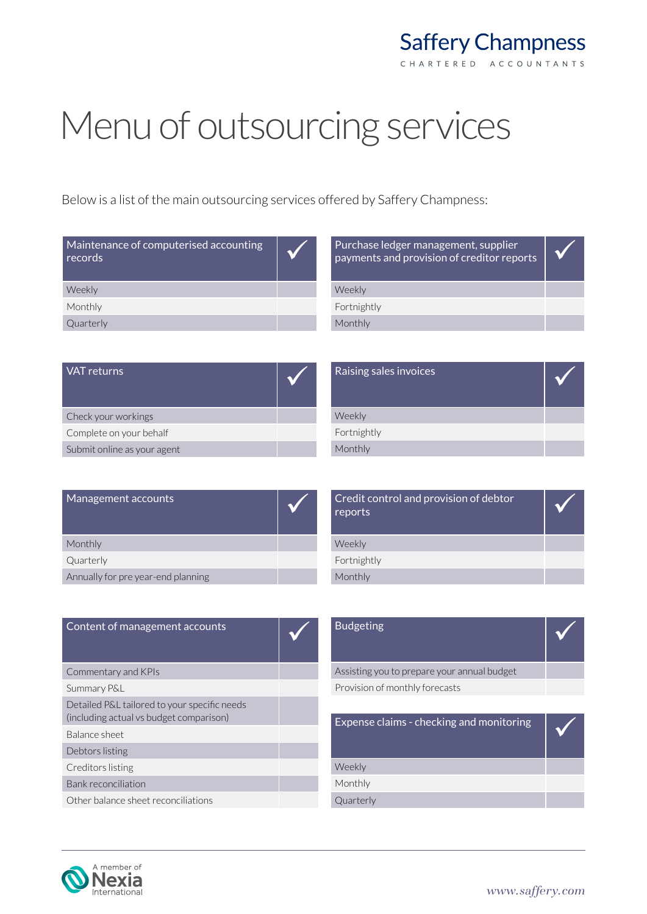## **Saffery Champness** CHARTERED ACCOUNTANTS

## Menu of outsourcing services

Below is a list of the main outsourcing services offered by Saffery Champness:

| Maintenance of computerised accounting<br>records' |  |
|----------------------------------------------------|--|
| Weekly                                             |  |
| Monthly                                            |  |
| Quarterly                                          |  |

| Purchase ledger management, supplier<br>payments and provision of creditor reports |  |
|------------------------------------------------------------------------------------|--|
| Weekly                                                                             |  |
| Fortnightly                                                                        |  |
| Monthly                                                                            |  |
|                                                                                    |  |

| VAT returns                 | Raising sales invoices |  |
|-----------------------------|------------------------|--|
| Check your workings         | Weekly                 |  |
| Complete on your behalf     | Fortnightly            |  |
| Submit online as your agent | Monthly                |  |

| Fortnightly                                       |  |
|---------------------------------------------------|--|
| Monthly                                           |  |
|                                                   |  |
|                                                   |  |
| Credit control and provision of debtor<br>reports |  |
| Weekly                                            |  |

| Management accounts                |  |
|------------------------------------|--|
| Monthly                            |  |
| Quarterly                          |  |
| Annually for pre year-end planning |  |

| Credit control and provision of debtor<br>reports |  |
|---------------------------------------------------|--|
| Weekly                                            |  |
| Fortnightly                                       |  |
| Monthly                                           |  |
|                                                   |  |

| Content of management accounts                                                          | <b>Budgeting</b>                            |  |
|-----------------------------------------------------------------------------------------|---------------------------------------------|--|
| Commentary and KPIs                                                                     | Assisting you to prepare your annual budget |  |
| Summary P&L                                                                             | Provision of monthly forecasts              |  |
| Detailed P&L tailored to your specific needs<br>(including actual vs budget comparison) | Expense claims - checking and monitoring    |  |
| Balance sheet                                                                           |                                             |  |
| Debtors listing                                                                         |                                             |  |
| Creditors listing                                                                       | Weekly                                      |  |
| Bank reconciliation                                                                     | Monthly                                     |  |
| Other balance sheet reconciliations                                                     | Quarterly                                   |  |